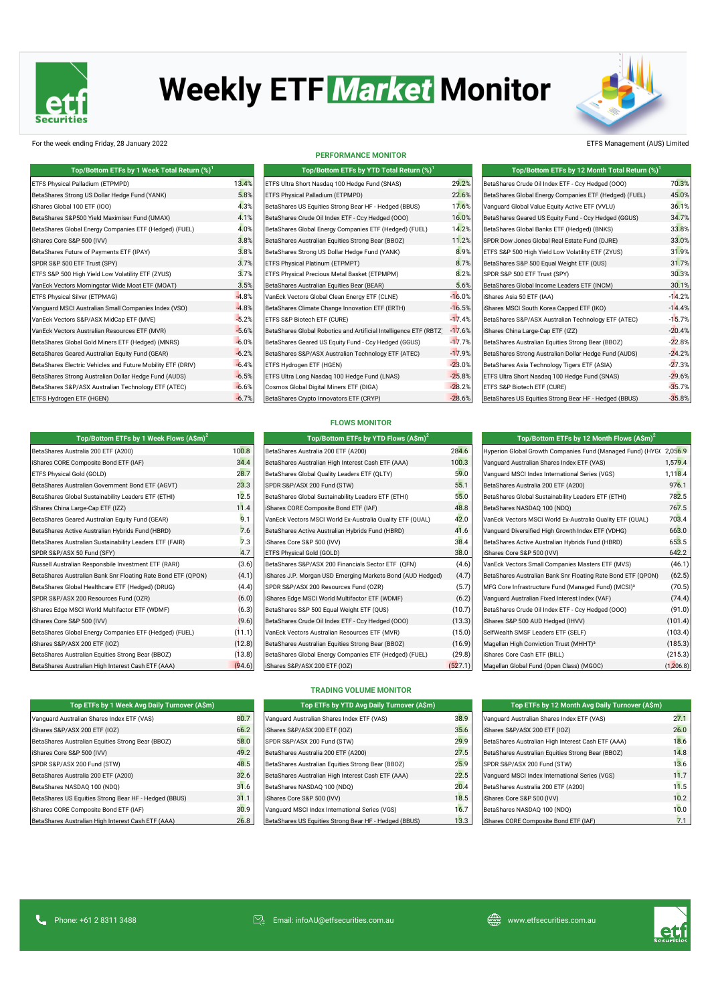

# **Weekly ETF Market Monitor**



For the week ending Friday, 28 January 2022 ETFS Management (AUS) Limited

| Top/Bottom ETFs by 1 Week Total Return (%) <sup>1</sup>     |         | Top/Bottom ETFs by YTD Total Return (%) <sup>1</sup>              |          | Top/Bottom ETFs by 12 Month Total Return $(\%)^1$      |          |
|-------------------------------------------------------------|---------|-------------------------------------------------------------------|----------|--------------------------------------------------------|----------|
| ETFS Physical Palladium (ETPMPD)                            | 13.4%   | ETFS Ultra Short Nasdaq 100 Hedge Fund (SNAS)                     | 29.2%    | BetaShares Crude Oil Index ETF - Ccy Hedged (000)      | 70.3%    |
| BetaShares Strong US Dollar Hedge Fund (YANK)               | 5.8%    | ETFS Physical Palladium (ETPMPD)                                  | 22.6%    | BetaShares Global Energy Companies ETF (Hedged) (FUEL) | 45.0%    |
| iShares Global 100 ETF (IOO)                                | 4.3%    | BetaShares US Equities Strong Bear HF - Hedged (BBUS)             | 17.6%    | Vanquard Global Value Equity Active ETF (VVLU)         | 36.1%    |
| BetaShares S&P500 Yield Maximiser Fund (UMAX)               | 4.1%    | BetaShares Crude Oil Index ETF - Ccy Hedged (000)                 | 16.0%    | BetaShares Geared US Equity Fund - Ccy Hedged (GGUS)   | 34.7%    |
| BetaShares Global Energy Companies ETF (Hedged) (FUEL)      | 4.0%    | BetaShares Global Energy Companies ETF (Hedged) (FUEL)            | 14.2%    | BetaShares Global Banks ETF (Hedged) (BNKS)            | 33.8%    |
| iShares Core S&P 500 (IVV)                                  | 3.8%    | BetaShares Australian Equities Strong Bear (BBOZ)                 | 11.2%    | SPDR Dow Jones Global Real Estate Fund (DJRE)          | 33.0%    |
| BetaShares Future of Payments ETF (IPAY)                    | 3.8%    | BetaShares Strong US Dollar Hedge Fund (YANK)                     | 8.9%     | ETFS S&P 500 High Yield Low Volatility ETF (ZYUS)      | 31.9%    |
| SPDR S&P 500 ETF Trust (SPY)                                | 3.7%    | ETFS Physical Platinum (ETPMPT)                                   | 8.7%     | BetaShares S&P 500 Equal Weight ETF (QUS)              | 31.7%    |
| ETFS S&P 500 High Yield Low Volatility ETF (ZYUS)           | 3.7%    | ETFS Physical Precious Metal Basket (ETPMPM)                      | 8.2%     | SPDR S&P 500 ETF Trust (SPY)                           | 30.3%    |
| VanEck Vectors Morningstar Wide Moat ETF (MOAT)             | 3.5%    | BetaShares Australian Equities Bear (BEAR)                        | 5.6%     | BetaShares Global Income Leaders ETF (INCM)            | 30.1%    |
| <b>ETFS Physical Silver (ETPMAG)</b>                        | $-4.8%$ | VanEck Vectors Global Clean Energy ETF (CLNE)                     | $-16.0%$ | iShares Asia 50 ETF (IAA)                              | $-14.2%$ |
| Vanguard MSCI Australian Small Companies Index (VSO)        | $-4.8%$ | BetaShares Climate Change Innovation ETF (ERTH)                   | $-16.5%$ | iShares MSCI South Korea Capped ETF (IKO)              | $-14.4%$ |
| VanEck Vectors S&P/ASX MidCap ETF (MVE)                     | $-5.2%$ | ETFS S&P Biotech ETF (CURE)                                       | $-17.4%$ | BetaShares S&P/ASX Australian Technology ETF (ATEC)    | $-15.7%$ |
| VanEck Vectors Australian Resources ETF (MVR)               | $-5.6%$ | BetaShares Global Robotics and Artificial Intelligence ETF (RBTZ) | $-17.6%$ | iShares China Large-Cap ETF (IZZ)                      | $-20.4%$ |
| BetaShares Global Gold Miners ETF (Hedged) (MNRS)           | $-6.0%$ | BetaShares Geared US Equity Fund - Ccy Hedged (GGUS)              | $-17.7%$ | BetaShares Australian Equities Strong Bear (BBOZ)      | $-22.8%$ |
| BetaShares Geared Australian Equity Fund (GEAR)             | $-6.2%$ | BetaShares S&P/ASX Australian Technology ETF (ATEC)               | $-17.9%$ | BetaShares Strong Australian Dollar Hedge Fund (AUDS)  | $-24.2%$ |
| BetaShares Electric Vehicles and Future Mobility ETF (DRIV) | $-6.4%$ | ETFS Hydrogen ETF (HGEN)                                          | $-23.0%$ | BetaShares Asia Technology Tigers ETF (ASIA)           | $-27.3%$ |
| BetaShares Strong Australian Dollar Hedge Fund (AUDS)       | $-6.5%$ | ETFS Ultra Long Nasdaq 100 Hedge Fund (LNAS)                      | $-25.8%$ | ETFS Ultra Short Nasdaq 100 Hedge Fund (SNAS)          | $-29.6%$ |
| BetaShares S&P/ASX Australian Technology ETF (ATEC)         | $-6.6%$ | Cosmos Global Digital Miners ETF (DIGA)                           | $-28.2%$ | ETFS S&P Biotech ETF (CURE)                            | $-35.7%$ |
| ETFS Hydrogen ETF (HGEN)                                    | $-6.7%$ | BetaShares Crypto Innovators ETF (CRYP)                           | $-28.6%$ | BetaShares US Equities Strong Bear HF - Hedged (BBUS)  | $-35.8%$ |

**PERFORMANCE MONITOR**

| Top/Bottom ETFs by YTD Total Return (%) <sup>1</sup>              |                 |
|-------------------------------------------------------------------|-----------------|
| ETFS Ultra Short Nasdaq 100 Hedge Fund (SNAS)                     | 29.29           |
| ETFS Physical Palladium (ETPMPD)                                  | 22.69           |
| BetaShares US Equities Strong Bear HF - Hedged (BBUS)             | 17.69           |
| BetaShares Crude Oil Index ETF - Ccy Hedged (000)                 | 16.0            |
| BetaShares Global Energy Companies ETF (Hedged) (FUEL)            | $14.2^{\circ}$  |
| BetaShares Australian Equities Strong Bear (BBOZ)                 | 11.29           |
| BetaShares Strong US Dollar Hedge Fund (YANK)                     | $8.9^{\circ}$   |
| ETFS Physical Platinum (ETPMPT)                                   | $8.7^{\circ}$   |
| ETFS Physical Precious Metal Basket (ETPMPM)                      | $8.2^{\circ}$   |
| BetaShares Australian Equities Bear (BEAR)                        | 5.6°            |
| VanEck Vectors Global Clean Energy ETF (CLNE)                     | $-16.0$         |
| BetaShares Climate Change Innovation ETF (ERTH)                   | $-16.59$        |
| ETFS S&P Biotech ETF (CURE)                                       | $-17.49$        |
| BetaShares Global Robotics and Artificial Intelligence ETF (RBTZ) | $-17.69$        |
| BetaShares Geared US Equity Fund - Ccy Hedged (GGUS)              | $-17.79$        |
| BetaShares S&P/ASX Australian Technology ETF (ATEC)               | $-17.99$        |
| ETFS Hydrogen ETF (HGEN)                                          | $-23.0^{\circ}$ |
| ETFS Ultra Long Nasdag 100 Hedge Fund (LNAS)                      | $-25.89$        |
| Cosmos Global Digital Miners ETF (DIGA)                           | $-28.2^{\circ}$ |
| BetaShares Crypto Innovators ETF (CRYP)                           | $-28.69$        |

| Top/Bottom ETFs by 12 Month Total Return (%) <sup>1</sup> |          |
|-----------------------------------------------------------|----------|
| BetaShares Crude Oil Index ETF - Ccy Hedged (000)         | 70.3%    |
| BetaShares Global Energy Companies ETF (Hedged) (FUEL)    | 45.0%    |
| Vanquard Global Value Equity Active ETF (VVLU)            | 36.1%    |
| BetaShares Geared US Equity Fund - Ccy Hedged (GGUS)      | 34.7%    |
| BetaShares Global Banks ETF (Hedged) (BNKS)               | 33.8%    |
| SPDR Dow Jones Global Real Estate Fund (DJRE)             | 33.0%    |
| ETFS S&P 500 High Yield Low Volatility ETF (ZYUS)         | 31.9%    |
| BetaShares S&P 500 Equal Weight ETF (QUS)                 | 31.7%    |
| SPDR S&P 500 ETF Trust (SPY)                              | 30.3%    |
| BetaShares Global Income Leaders ETF (INCM)               | 30.1%    |
| iShares Asia 50 ETF (IAA)                                 | $-14.2%$ |
| iShares MSCI South Korea Capped ETF (IKO)                 | $-14.4%$ |
| BetaShares S&P/ASX Australian Technology ETF (ATEC)       | $-15.7%$ |
| iShares China Large-Cap ETF (IZZ)                         | $-20.4%$ |
| BetaShares Australian Equities Strong Bear (BBOZ)         | $-22.8%$ |
| BetaShares Strong Australian Dollar Hedge Fund (AUDS)     | $-24.2%$ |
| BetaShares Asia Technology Tigers ETF (ASIA)              | $-27.3%$ |
| ETFS Ultra Short Nasdaq 100 Hedge Fund (SNAS)             | $-29.6%$ |
| ETFS S&P Biotech ETF (CURE)                               | $-35.7%$ |
| BetaShares US Equities Strong Bear HF - Hedged (BBUS)     | $-35.8%$ |

| <b>FLOWS MONITOR</b> |  |
|----------------------|--|
|----------------------|--|

| Top/Bottom ETFs by 1 Week Flows $(A\sin)^2$                  |        | Top/Bottom ETFs by YTD Flows (A\$m) <sup>2</sup>           |         |
|--------------------------------------------------------------|--------|------------------------------------------------------------|---------|
| BetaShares Australia 200 ETF (A200)                          | 100.8  | BetaShares Australia 200 ETF (A200)                        | 284.6   |
| iShares CORE Composite Bond ETF (IAF)                        | 34.4   | BetaShares Australian High Interest Cash ETF (AAA)         | 100.3   |
| ETFS Physical Gold (GOLD)                                    | 28.7   | BetaShares Global Quality Leaders ETF (QLTY)               | 59.0    |
| BetaShares Australian Government Bond ETF (AGVT)             | 23.3   | SPDR S&P/ASX 200 Fund (STW)                                | 55.1    |
| BetaShares Global Sustainability Leaders ETF (ETHI)          | 12.5   | BetaShares Global Sustainability Leaders ETF (ETHI)        | 55.0    |
| iShares China Large-Cap ETF (IZZ)                            | 11.4   | iShares CORE Composite Bond ETF (IAF)                      | 48.8    |
| BetaShares Geared Australian Equity Fund (GEAR)              | 9.1    | VanEck Vectors MSCI World Ex-Australia Quality ETF (QUAL)  | 42.0    |
| BetaShares Active Australian Hybrids Fund (HBRD)             | 7.6    | BetaShares Active Australian Hybrids Fund (HBRD)           | 41.6    |
| BetaShares Australian Sustainability Leaders ETF (FAIR)      | 7.3    | iShares Core S&P 500 (IVV)                                 | 38.4    |
| SPDR S&P/ASX 50 Fund (SFY)                                   | 4.7    | ETFS Physical Gold (GOLD)                                  | 38.0    |
| Russell Australian Responsbile Investment ETF (RARI)         | (3.6)  | BetaShares S&P/ASX 200 Financials Sector ETF (QFN)         | (4.6)   |
| BetaShares Australian Bank Snr Floating Rate Bond ETF (QPON) | (4.1)  | iShares J.P. Morgan USD Emerging Markets Bond (AUD Hedged) | (4.7)   |
| BetaShares Global Healthcare ETF (Hedged) (DRUG)             | (4.4)  | SPDR S&P/ASX 200 Resources Fund (OZR)                      | (5.7)   |
| SPDR S&P/ASX 200 Resources Fund (OZR)                        | (6.0)  | iShares Edge MSCI World Multifactor ETF (WDMF)             | (6.2)   |
| iShares Edge MSCI World Multifactor ETF (WDMF)               | (6.3)  | BetaShares S&P 500 Equal Weight ETF (QUS)                  | (10.7)  |
| iShares Core S&P 500 (IVV)                                   | (9.6)  | BetaShares Crude Oil Index ETF - Ccy Hedged (000)          | (13.3)  |
| BetaShares Global Energy Companies ETF (Hedged) (FUEL)       | (11.1) | VanEck Vectors Australian Resources ETF (MVR)              | (15.0)  |
| iShares S&P/ASX 200 ETF (IOZ)                                | (12.8) | BetaShares Australian Equities Strong Bear (BBOZ)          | (16.9)  |
| BetaShares Australian Equities Strong Bear (BBOZ)            | (13.8) | BetaShares Global Energy Companies ETF (Hedged) (FUEL)     | (29.8)  |
| BetaShares Australian High Interest Cash ETF (AAA)           | (94.6) | iShares S&P/ASX 200 ETF (IOZ)                              | (527.1) |

| Top/Bottom ETFs by 12 Month Flows (A\$m) <sup>2</sup>              |          |
|--------------------------------------------------------------------|----------|
| Hyperion Global Growth Companies Fund (Managed Fund) (HYG( 2,056.9 |          |
| Vanguard Australian Shares Index ETF (VAS)                         | 1,579.4  |
| Vanquard MSCI Index International Series (VGS)                     | 1.118.4  |
| BetaShares Australia 200 ETF (A200)                                | 976.1    |
| BetaShares Global Sustainability Leaders ETF (ETHI)                | 782.5    |
| BetaShares NASDAQ 100 (NDQ)                                        | 767.5    |
| VanEck Vectors MSCI World Ex-Australia Quality ETF (QUAL)          | 703.4    |
| Vanquard Diversified High Growth Index ETF (VDHG)                  | 663.0    |
| BetaShares Active Australian Hybrids Fund (HBRD)                   | 653.5    |
| iShares Core S&P 500 (IVV)                                         | 642.2    |
| VanEck Vectors Small Companies Masters ETF (MVS)                   | (46.1)   |
| BetaShares Australian Bank Snr Floating Rate Bond ETF (QPON)       | (62.5)   |
| MFG Core Infrastructure Fund (Managed Fund) (MCSI) <sup>3</sup>    | (70.5)   |
| Vanguard Australian Fixed Interest Index (VAF)                     | (74.4)   |
| BetaShares Crude Oil Index ETF - Ccv Hedged (000)                  | (91.0)   |
| iShares S&P 500 AUD Hedged (IHVV)                                  | (101.4)  |
| SelfWealth SMSF Leaders ETF (SELF)                                 | (103.4)  |
| Magellan High Conviction Trust (MHHT) <sup>3</sup>                 | (185.3)  |
| iShares Core Cash ETF (BILL)                                       | (215.3)  |
| Mogellan Clobal Eund (Open Close) (MCOC)                           | (1.2060) |

| Top ETFs by 1 Week Avg Daily Turnover (A\$m)          |      | Top ETFs by YTD Avg Daily Turnover (A\$m)             |      | Top ETFs by 12 Month Avg Daily Turnover (A\$m)     |      |
|-------------------------------------------------------|------|-------------------------------------------------------|------|----------------------------------------------------|------|
| Vanquard Australian Shares Index ETF (VAS)            | 80.7 | Vanquard Australian Shares Index ETF (VAS)            | 38.9 | Vanquard Australian Shares Index ETF (VAS)         | 27.1 |
| iShares S&P/ASX 200 ETF (IOZ)                         | 66.2 | iShares S&P/ASX 200 ETF (IOZ)                         | 35.6 | iShares S&P/ASX 200 ETF (IOZ)                      | 26.0 |
| BetaShares Australian Equities Strong Bear (BBOZ)     | 58.0 | SPDR S&P/ASX 200 Fund (STW)                           | 29.9 | BetaShares Australian High Interest Cash ETF (AAA) | 18.6 |
| iShares Core S&P 500 (IVV)                            | 49.2 | BetaShares Australia 200 ETF (A200)                   | 27.5 | BetaShares Australian Equities Strong Bear (BBOZ)  | 14.8 |
| SPDR S&P/ASX 200 Fund (STW)                           | 48.5 | BetaShares Australian Equities Strong Bear (BBOZ)     | 25.9 | SPDR S&P/ASX 200 Fund (STW)                        | 13.6 |
| BetaShares Australia 200 ETF (A200)                   | 32.6 | BetaShares Australian High Interest Cash ETF (AAA)    | 22.5 | Vanquard MSCI Index International Series (VGS)     | 11.7 |
| BetaShares NASDAQ 100 (NDQ)                           | 31.6 | BetaShares NASDAQ 100 (NDQ)                           | 20.4 | BetaShares Australia 200 ETF (A200)                | 11.5 |
| BetaShares US Equities Strong Bear HF - Hedged (BBUS) | 31.1 | iShares Core S&P 500 (IVV)                            | 18.5 | iShares Core S&P 500 (IVV)                         | 10.2 |
| iShares CORE Composite Bond ETF (IAF)                 | 30.9 | Vanquard MSCI Index International Series (VGS)        | 16.7 | BetaShares NASDAQ 100 (NDQ)                        | 10.0 |
| BetaShares Australian High Interest Cash ETF (AAA)    | 26.8 | BetaShares US Equities Strong Bear HF - Hedged (BBUS) | 13.3 | iShares CORE Composite Bond ETF (IAF)              | 7.1  |

### **TRADING VOLUME MONITOR**

| Top ETFs by 1 Week Avg Daily Turnover (A\$m) |      | Top ETFs by YTD Avg Daily Turnover (A\$m)             |      | Top ETFs by 12 Month Avg Daily Turnover (A\$m)     |
|----------------------------------------------|------|-------------------------------------------------------|------|----------------------------------------------------|
| tralian Shares Index ETF (VAS)               | 80.7 | Vanquard Australian Shares Index ETF (VAS)            | 38.9 | Vanquard Australian Shares Index ETF (VAS)         |
| <b>SX 200 ETF (IOZ)</b>                      | 66.2 | iShares S&P/ASX 200 ETF (IOZ)                         | 35.6 | iShares S&P/ASX 200 ETF (IOZ)                      |
| ustralian Equities Strong Bear (BBOZ)        | 58.0 | SPDR S&P/ASX 200 Fund (STW)                           | 29.9 | BetaShares Australian High Interest Cash ETF (AAA) |
| S&P 500 (IVV)                                | 49.2 | BetaShares Australia 200 ETF (A200)                   | 27.5 | BetaShares Australian Equities Strong Bear (BBOZ)  |
| X 200 Fund (STW)                             | 48.5 | BetaShares Australian Equities Strong Bear (BBOZ)     | 25.9 | SPDR S&P/ASX 200 Fund (STW)                        |
| ustralia 200 ETF (A200)                      | 32.6 | BetaShares Australian High Interest Cash ETF (AAA)    | 22.5 | Vanquard MSCI Index International Series (VGS)     |
| ASDAQ 100 (NDQ)                              | 31.6 | BetaShares NASDAQ 100 (NDQ)                           | 20.4 | BetaShares Australia 200 ETF (A200)                |
| S Equities Strong Bear HF - Hedged (BBUS)    | 31.1 | iShares Core S&P 500 (IVV)                            | 18.5 | iShares Core S&P 500 (IVV)                         |
| Composite Bond ETF (IAF)                     | 30.9 | Vanquard MSCI Index International Series (VGS)        | 16.7 | BetaShares NASDAQ 100 (NDQ)                        |
| ustralian High Interest Cash ETF (AAA)       | 26.8 | BetaShares US Equities Strong Bear HF - Hedged (BBUS) | 13.3 | iShares CORE Composite Bond ETF (IAF)              |

| Top ETFs by 12 Month Avg Daily Turnover (A\$m)     |      |  |  |  |
|----------------------------------------------------|------|--|--|--|
| Vanguard Australian Shares Index ETF (VAS)         | 27.1 |  |  |  |
| Shares S&P/ASX 200 ETF (IOZ)                       |      |  |  |  |
| BetaShares Australian High Interest Cash ETF (AAA) | 18.6 |  |  |  |
| BetaShares Australian Equities Strong Bear (BBOZ)  | 14.8 |  |  |  |
| SPDR S&P/ASX 200 Fund (STW)                        | 13.6 |  |  |  |
| Vanquard MSCI Index International Series (VGS)     | 11.7 |  |  |  |
| BetaShares Australia 200 ETF (A200)                | 11.5 |  |  |  |
| Shares Core S&P 500 (IVV)                          | 10.2 |  |  |  |
| BetaShares NASDAQ 100 (NDQ)                        | 10.0 |  |  |  |
| Shares CORE Composite Bond ETF (IAF)               | 7.1  |  |  |  |